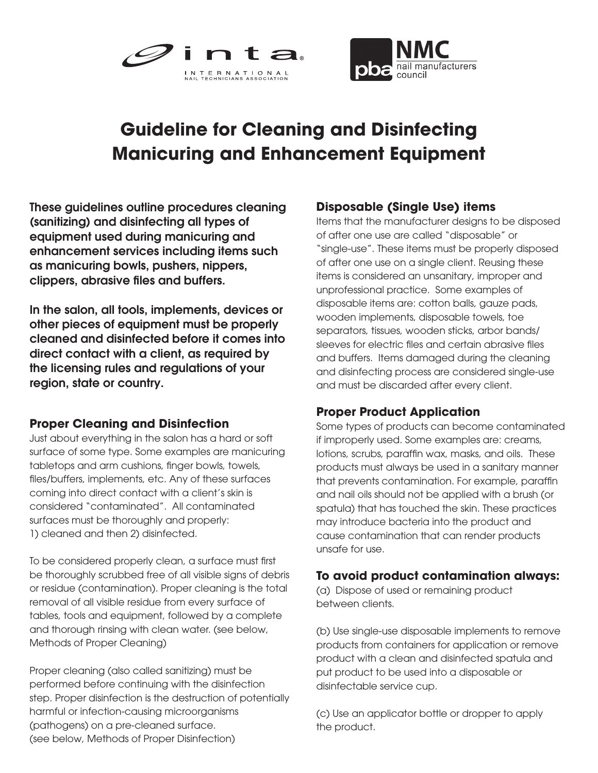



# **Guideline for Cleaning and Disinfecting Manicuring and Enhancement Equipment**

These guidelines outline procedures cleaning (sanitizing) and disinfecting all types of equipment used during manicuring and enhancement services including items such as manicuring bowls, pushers, nippers, clippers, abrasive files and buffers.

In the salon, all tools, implements, devices or other pieces of equipment must be properly cleaned and disinfected before it comes into direct contact with a client, as required by the licensing rules and regulations of your region, state or country.

#### **Proper Cleaning and Disinfection**

Just about everything in the salon has a hard or soft surface of some type. Some examples are manicuring tabletops and arm cushions, finger bowls, towels, files/buffers, implements, etc. Any of these surfaces coming into direct contact with a client's skin is considered "contaminated". All contaminated surfaces must be thoroughly and properly: 1) cleaned and then 2) disinfected.

To be considered properly clean, a surface must first be thoroughly scrubbed free of all visible signs of debris or residue (contamination). Proper cleaning is the total removal of all visible residue from every surface of tables, tools and equipment, followed by a complete and thorough rinsing with clean water. (see below, Methods of Proper Cleaning)

Proper cleaning (also called sanitizing) must be performed before continuing with the disinfection step. Proper disinfection is the destruction of potentially harmful or infection-causing microorganisms (pathogens) on a pre-cleaned surface. (see below, Methods of Proper Disinfection)

#### **Disposable (Single Use) items**

Items that the manufacturer designs to be disposed of after one use are called "disposable" or "single-use". These items must be properly disposed of after one use on a single client. Reusing these items is considered an unsanitary, improper and unprofessional practice. Some examples of disposable items are: cotton balls, gauze pads, wooden implements, disposable towels, toe separators, tissues, wooden sticks, arbor bands/ sleeves for electric files and certain abrasive files and buffers. Items damaged during the cleaning and disinfecting process are considered single-use and must be discarded after every client.

### **Proper Product Application**

Some types of products can become contaminated if improperly used. Some examples are: creams, lotions, scrubs, paraffin wax, masks, and oils. These products must always be used in a sanitary manner that prevents contamination. For example, paraffin and nail oils should not be applied with a brush (or spatula) that has touched the skin. These practices may introduce bacteria into the product and cause contamination that can render products unsafe for use.

#### **To avoid product contamination always:**

(a) Dispose of used or remaining product between clients.

(b) Use single-use disposable implements to remove products from containers for application or remove product with a clean and disinfected spatula and put product to be used into a disposable or disinfectable service cup.

(c) Use an applicator bottle or dropper to apply the product.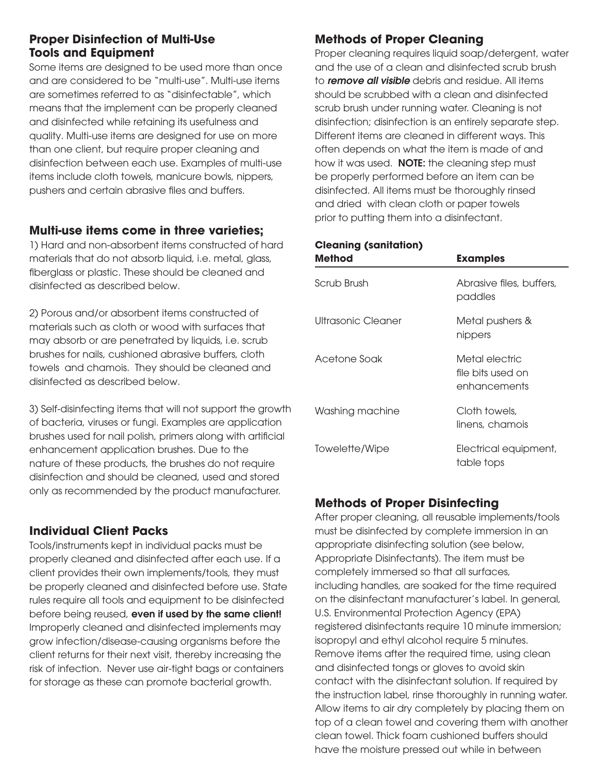#### **Proper Disinfection of Multi-Use Tools and Equipment**

Some items are designed to be used more than once and are considered to be "multi-use". Multi-use items are sometimes referred to as "disinfectable", which means that the implement can be properly cleaned and disinfected while retaining its usefulness and quality. Multi-use items are designed for use on more than one client, but require proper cleaning and disinfection between each use. Examples of multi-use items include cloth towels, manicure bowls, nippers, pushers and certain abrasive files and buffers.

#### **Multi-use items come in three varieties;**

1) Hard and non-absorbent items constructed of hard materials that do not absorb liquid, i.e. metal, glass, fiberglass or plastic. These should be cleaned and disinfected as described below.

2) Porous and/or absorbent items constructed of materials such as cloth or wood with surfaces that may absorb or are penetrated by liquids, i.e. scrub brushes for nails, cushioned abrasive buffers, cloth towels and chamois. They should be cleaned and disinfected as described below.

3) Self-disinfecting items that will not support the growth of bacteria, viruses or fungi. Examples are application brushes used for nail polish, primers along with artificial enhancement application brushes. Due to the nature of these products, the brushes do not require disinfection and should be cleaned, used and stored only as recommended by the product manufacturer.

#### **Individual Client Packs**

Tools/instruments kept in individual packs must be properly cleaned and disinfected after each use. If a client provides their own implements/tools, they must be properly cleaned and disinfected before use. State rules require all tools and equipment to be disinfected before being reused, even if used by the same client! Improperly cleaned and disinfected implements may grow infection/disease-causing organisms before the client returns for their next visit, thereby increasing the risk of infection. Never use air-tight bags or containers for storage as these can promote bacterial growth.

# **Methods of Proper Cleaning**

Proper cleaning requires liquid soap/detergent, water and the use of a clean and disinfected scrub brush to *remove all visible* debris and residue. All items should be scrubbed with a clean and disinfected scrub brush under running water. Cleaning is not disinfection; disinfection is an entirely separate step. Different items are cleaned in different ways. This often depends on what the item is made of and how it was used. **NOTE:** the cleaning step must be properly performed before an item can be disinfected. All items must be thoroughly rinsed and dried with clean cloth or paper towels prior to putting them into a disinfectant.

#### **Cleaning (sanitation)**

| <b>Method</b>      | <b>Examples</b>                                     |
|--------------------|-----------------------------------------------------|
| Scrub Brush        | Abrasive files, buffers,<br>paddles                 |
| Ultrasonic Cleaner | Metal pushers &<br>nippers                          |
| Acetone Soak       | Metal electric<br>file bits used on<br>enhancements |
| Washing machine    | Cloth towels,<br>linens, chamois                    |
| Towelette/Wipe     | Electrical equipment,<br>table tops                 |

# **Methods of Proper Disinfecting**

After proper cleaning, all reusable implements/tools must be disinfected by complete immersion in an appropriate disinfecting solution (see below, Appropriate Disinfectants). The item must be completely immersed so that all surfaces, including handles, are soaked for the time required on the disinfectant manufacturer's label. In general, U.S. Environmental Protection Agency (EPA) registered disinfectants require 10 minute immersion; isopropyl and ethyl alcohol require 5 minutes. Remove items after the required time, using clean and disinfected tongs or gloves to avoid skin contact with the disinfectant solution. If required by the instruction label, rinse thoroughly in running water. Allow items to air dry completely by placing them on top of a clean towel and covering them with another clean towel. Thick foam cushioned buffers should have the moisture pressed out while in between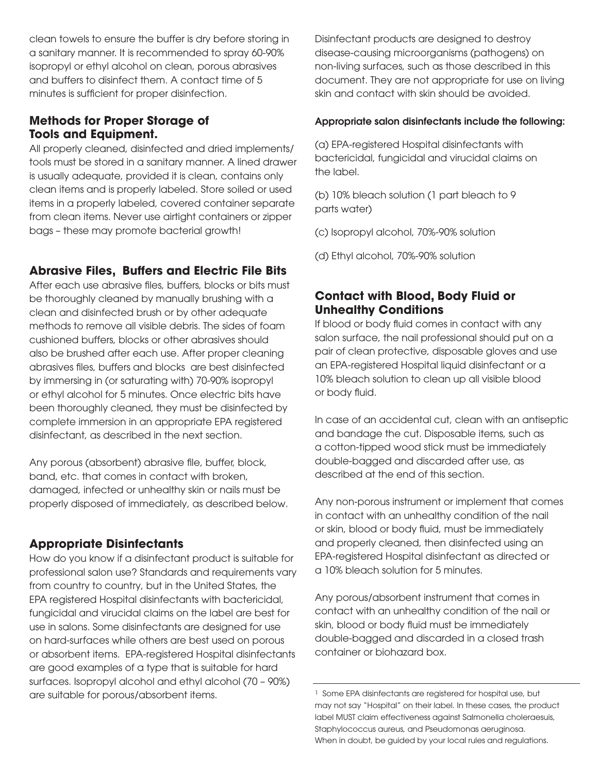clean towels to ensure the buffer is dry before storing in a sanitary manner. It is recommended to spray 60-90% isopropyl or ethyl alcohol on clean, porous abrasives and buffers to disinfect them. A contact time of 5 minutes is sufficient for proper disinfection.

#### **Methods for Proper Storage of Tools and Equipment.**

All properly cleaned, disinfected and dried implements/ tools must be stored in a sanitary manner. A lined drawer is usually adequate, provided it is clean, contains only clean items and is properly labeled. Store soiled or used items in a properly labeled, covered container separate from clean items. Never use airtight containers or zipper bags – these may promote bacterial growth!

#### **Abrasive Files, Buffers and Electric File Bits**

After each use abrasive files, buffers, blocks or bits must be thoroughly cleaned by manually brushing with a clean and disinfected brush or by other adequate methods to remove all visible debris. The sides of foam cushioned buffers, blocks or other abrasives should also be brushed after each use. After proper cleaning abrasives files, buffers and blocks are best disinfected by immersing in (or saturating with) 70-90% isopropyl or ethyl alcohol for 5 minutes. Once electric bits have been thoroughly cleaned, they must be disinfected by complete immersion in an appropriate EPA registered disinfectant, as described in the next section.

Any porous (absorbent) abrasive file, buffer, block, band, etc. that comes in contact with broken, damaged, infected or unhealthy skin or nails must be properly disposed of immediately, as described below.

### **Appropriate Disinfectants**

How do you know if a disinfectant product is suitable for professional salon use? Standards and requirements vary from country to country, but in the United States, the EPA registered Hospital disinfectants with bactericidal, fungicidal and virucidal claims on the label are best for use in salons. Some disinfectants are designed for use on hard-surfaces while others are best used on porous or absorbent items. EPA-registered Hospital disinfectants are good examples of a type that is suitable for hard surfaces. Isopropyl alcohol and ethyl alcohol (70 – 90%) are suitable for porous/absorbent items.

Disinfectant products are designed to destroy disease-causing microorganisms (pathogens) on non-living surfaces, such as those described in this document. They are not appropriate for use on living skin and contact with skin should be avoided.

#### Appropriate salon disinfectants include the following:

(a) EPA-registered Hospital disinfectants with bactericidal, fungicidal and virucidal claims on the label.

(b) 10% bleach solution (1 part bleach to 9 parts water)

(c) Isopropyl alcohol, 70%-90% solution

(d) Ethyl alcohol, 70%-90% solution

## **Contact with Blood, Body Fluid or Unhealthy Conditions**

If blood or body fluid comes in contact with any salon surface, the nail professional should put on a pair of clean protective, disposable gloves and use an EPA-registered Hospital liquid disinfectant or a 10% bleach solution to clean up all visible blood or body fluid.

In case of an accidental cut, clean with an antiseptic and bandage the cut. Disposable items, such as a cotton-tipped wood stick must be immediately double-bagged and discarded after use, as described at the end of this section.

Any non-porous instrument or implement that comes in contact with an unhealthy condition of the nail or skin, blood or body fluid, must be immediately and properly cleaned, then disinfected using an EPA-registered Hospital disinfectant as directed or a 10% bleach solution for 5 minutes.

Any porous/absorbent instrument that comes in contact with an unhealthy condition of the nail or skin, blood or body fluid must be immediately double-bagged and discarded in a closed trash container or biohazard box.

<sup>&</sup>lt;sup>1</sup> Some EPA disinfectants are registered for hospital use, but may not say "Hospital" on their label. In these cases, the product label MUST claim effectiveness against Salmonella choleraesuis, Staphylococcus aureus, and Pseudomonas aeruginosa. When in doubt, be guided by your local rules and regulations.